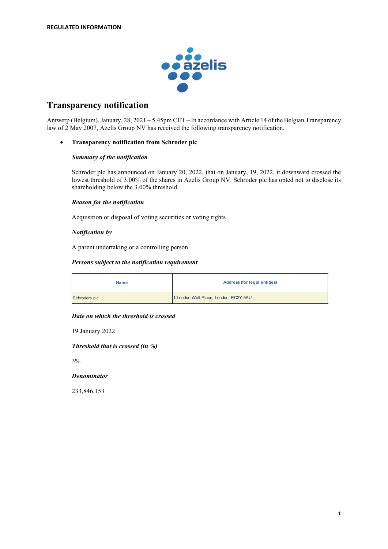

# **Transparency notification**

Antwerp (Belgium), January, 28, 2021 – 5.45pm CET – In accordance with Article 14 of the Belgian Transparency law of 2 May 2007, Azelis Group NV has received the following transparency notification.

## • **Transparency notification from Schroder plc**

#### *Summary of the notification*

Schroder plc has announced on January 20, 2022, that on January, 19, 2022, it downward crossed the lowest threshold of 3.00% of the shares in Azelis Group NV. Schroder plc has opted not to disclose its shareholding below the 3.00% threshold.

## *Reason for the notification*

Acquisition or disposal of voting securities or voting rights

## *Notification by*

A parent undertaking or a controlling person

#### *Persons subject to the notification requirement*

| <b>Name</b>   | <b>Address (for legal entities)</b>   |  |
|---------------|---------------------------------------|--|
| Schroders plc | 1 London Wall Place, London, EC2Y 5AU |  |

#### *Date on which the threshold is crossed*

19 January 2022

*Threshold that is crossed (in %)*

3%

#### *Denominator*

233,846,153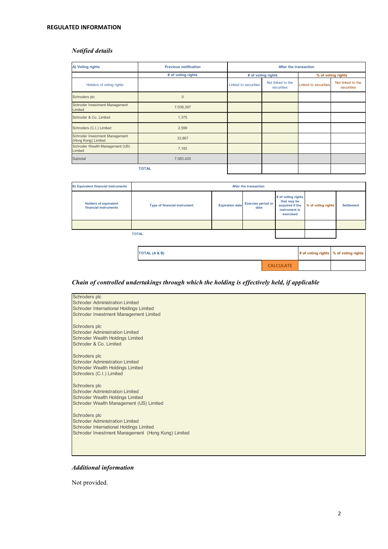## **REGULATED INFORMATION**

# *Notified details*

| A) Voting rights                                      | <b>Previous notification</b> | After the transaction |                                 |                             |                                 |
|-------------------------------------------------------|------------------------------|-----------------------|---------------------------------|-----------------------------|---------------------------------|
|                                                       | # of voting rights           |                       | # of voting rights              | % of voting rights          |                                 |
| Holders of voting rights                              |                              | Linked to securities  | Not linked to the<br>securities | <b>Linked to securities</b> | Not linked to the<br>securities |
| Schroders plc                                         | $\mathbf 0$                  |                       |                                 |                             |                                 |
| Schroder Investment Management<br>Limited             | 7,038,397                    |                       |                                 |                             |                                 |
| Schroder & Co. Limited                                | 1,375                        |                       |                                 |                             |                                 |
| Schroders (C.I.) Limited                              | 2,599                        |                       |                                 |                             |                                 |
| Schroder Investment Management<br>(Hong Kong) Limited | 33,867                       |                       |                                 |                             |                                 |
| Schroder Wealth Management (US)<br>Limited            | 7,182                        |                       |                                 |                             |                                 |
| Subtotal                                              | 7,083,420                    |                       |                                 |                             |                                 |
|                                                       | <b>TOTAL</b>                 |                       |                                 |                             |                                 |

| <b>B) Equivalent financial instruments</b>            | After the transaction               |                        |                                   |                                                                                    |                    |                                       |
|-------------------------------------------------------|-------------------------------------|------------------------|-----------------------------------|------------------------------------------------------------------------------------|--------------------|---------------------------------------|
| <b>Holders of equivalent</b><br>financial instruments | <b>Type of financial instrument</b> | <b>Expiration date</b> | <b>Exercise period or</b><br>date | # of voting rights<br>that may be<br>acquired if the<br>instrument is<br>exercised | % of voting rights | <b>Settlement</b>                     |
|                                                       |                                     |                        |                                   |                                                                                    |                    |                                       |
|                                                       | <b>TOTAL</b>                        |                        |                                   |                                                                                    |                    |                                       |
|                                                       |                                     |                        |                                   |                                                                                    |                    |                                       |
|                                                       | <b>TOTAL (A &amp; B)</b>            |                        |                                   |                                                                                    |                    | # of voting rights % of voting rights |

**CALCULATE**

# *Chain of controlled undertakings through which the holding is effectively held, if applicable*

| Schroders plc<br><b>Schroder Administration Limited</b> |
|---------------------------------------------------------|
| <b>Schroder International Holdings Limited</b>          |
| Schroder Investment Management Limited                  |
|                                                         |
| Schroders plc                                           |
| <b>Schroder Administration Limited</b>                  |
| <b>Schroder Wealth Holdings Limited</b>                 |
| Schroder & Co. Limited                                  |
|                                                         |
| Schroders plc                                           |
| <b>Schroder Administration Limited</b>                  |
| <b>Schroder Wealth Holdings Limited</b>                 |
| Schroders (C.I.) Limited                                |
|                                                         |
| Schroders plc                                           |
| <b>Schroder Administration Limited</b>                  |
| <b>Schroder Wealth Holdings Limited</b>                 |
| Schroder Wealth Management (US) Limited                 |
|                                                         |
| Schroders plc                                           |
| <b>Schroder Administration Limited</b>                  |
| <b>Schroder International Holdings Limited</b>          |
| Schroder Investment Management (Hong Kong) Limited      |
|                                                         |
|                                                         |
|                                                         |

# *Additional information*

Not provided.